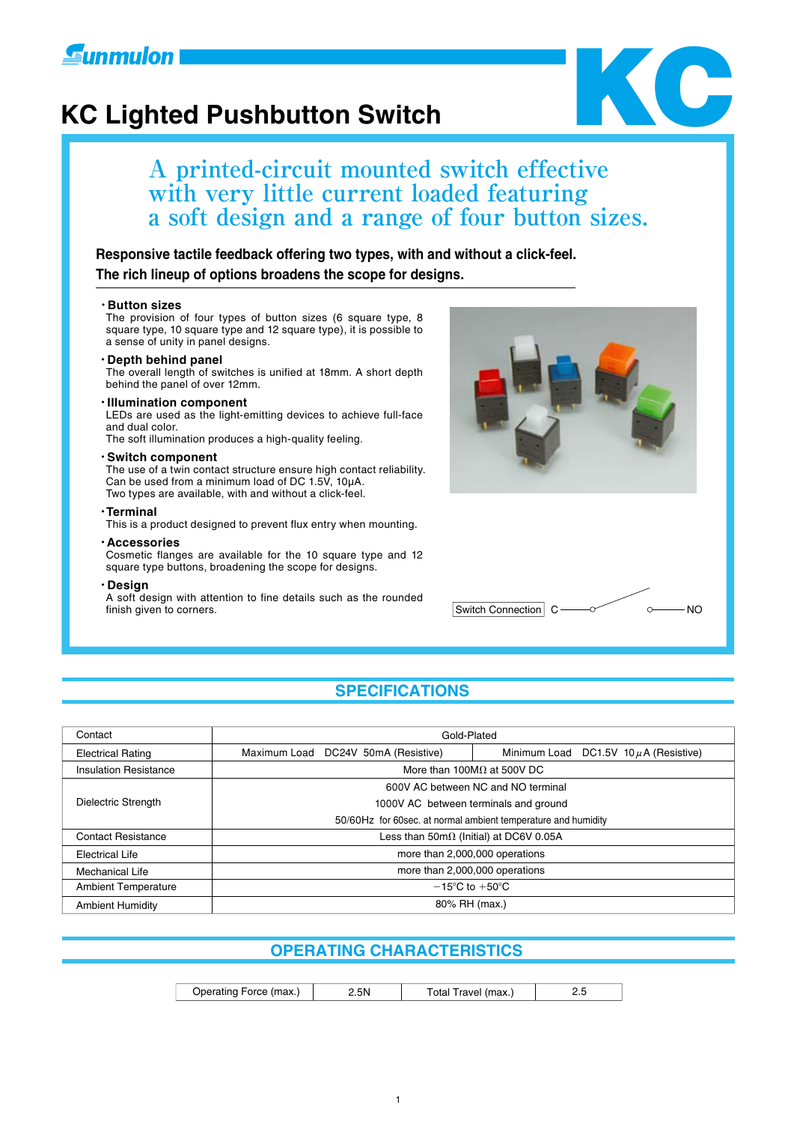

## **KC Lighted Pushbutton Switch**



### **A printed-circuit mounted switch effective with very little current loaded featuring a soft design and a range of four button sizes.**

**Responsive tactile feedback offering two types, with and without a click-feel. The rich lineup of options broadens the scope for designs.**

#### ・**Button sizes**

The provision of four types of button sizes (6 square type, 8 square type, 10 square type and 12 square type), it is possible to a sense of unity in panel designs.

#### ・**Depth behind panel**

The overall length of switches is unified at 18mm. A short depth behind the panel of over 12mm.

#### ・**Illumination component**

LEDs are used as the light-emitting devices to achieve full-face and dual color.

The soft illumination produces a high-quality feeling.

#### ・**Switch component**

The use of a twin contact structure ensure high contact reliability. Can be used from a minimum load of DC 1.5V, 10µA. Two types are available, with and without a click-feel.

#### ・**Terminal**

This is a product designed to prevent flux entry when mounting.

#### ・**Accessories**

Cosmetic flanges are available for the 10 square type and 12 square type buttons, broadening the scope for designs.

#### ・**Design**

A soft design with attention to fine details such as the rounded finish given to corners.





#### **SPECIFICATIONS**

| Contact                      | Gold-Plated                                                                          |  |  |  |  |  |
|------------------------------|--------------------------------------------------------------------------------------|--|--|--|--|--|
| <b>Electrical Rating</b>     | Maximum Load DC24V 50mA (Resistive)<br>Minimum Load<br>DC1.5V 10 $\mu$ A (Resistive) |  |  |  |  |  |
| <b>Insulation Resistance</b> | More than 100M $\Omega$ at 500V DC                                                   |  |  |  |  |  |
|                              | 600V AC between NC and NO terminal                                                   |  |  |  |  |  |
| Dielectric Strength          | 1000V AC between terminals and ground                                                |  |  |  |  |  |
|                              | 50/60Hz for 60sec. at normal ambient temperature and humidity                        |  |  |  |  |  |
| <b>Contact Resistance</b>    | Less than $50m\Omega$ (Initial) at DC6V 0.05A                                        |  |  |  |  |  |
| <b>Electrical Life</b>       | more than 2,000,000 operations                                                       |  |  |  |  |  |
| Mechanical Life              | more than 2,000,000 operations                                                       |  |  |  |  |  |
| <b>Ambient Temperature</b>   | $-15^{\circ}$ C to $+50^{\circ}$ C                                                   |  |  |  |  |  |
| <b>Ambient Humidity</b>      | 80% RH (max.)                                                                        |  |  |  |  |  |

#### **OPERATING CHARACTERISTICS**

2.5N | Total Travel (max.) | 2.5 Operating Force (max.)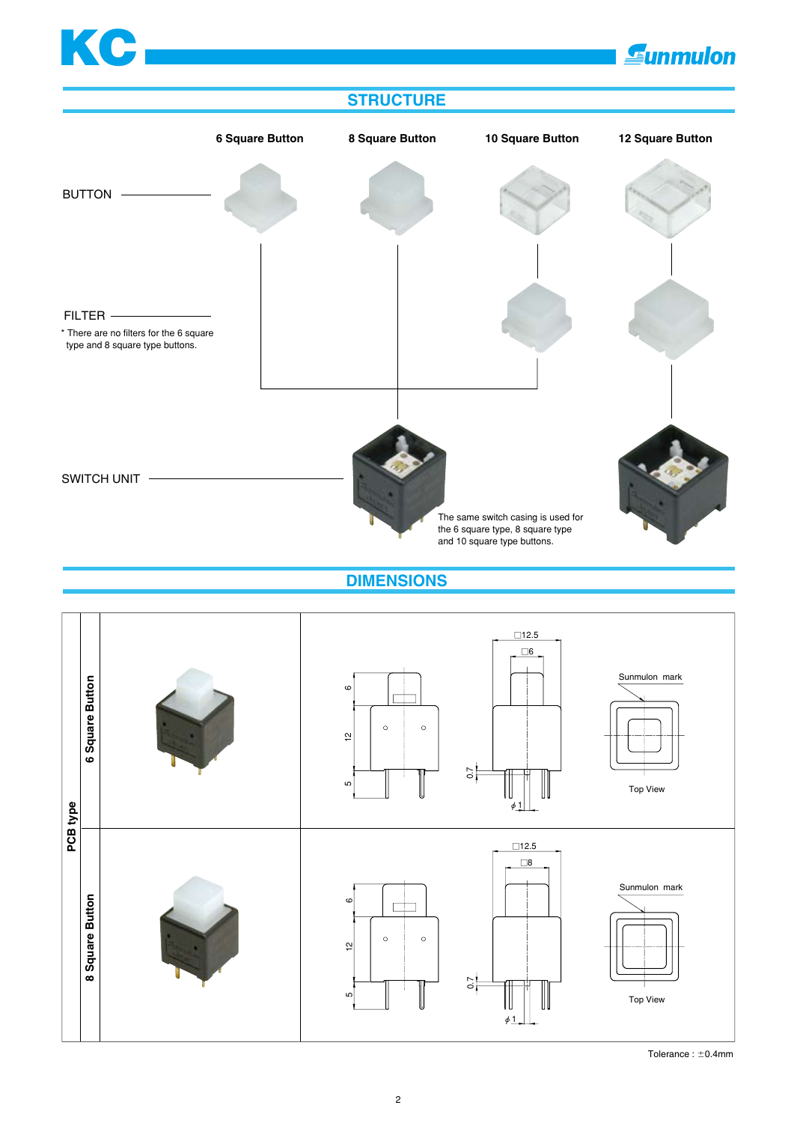### [KC](http://www.sunmulon.co.jp/english/index.htm) **Gunmulon STRUCTURE**



**DIMENSIONS**



Tolerance :  $\pm$ 0.4mm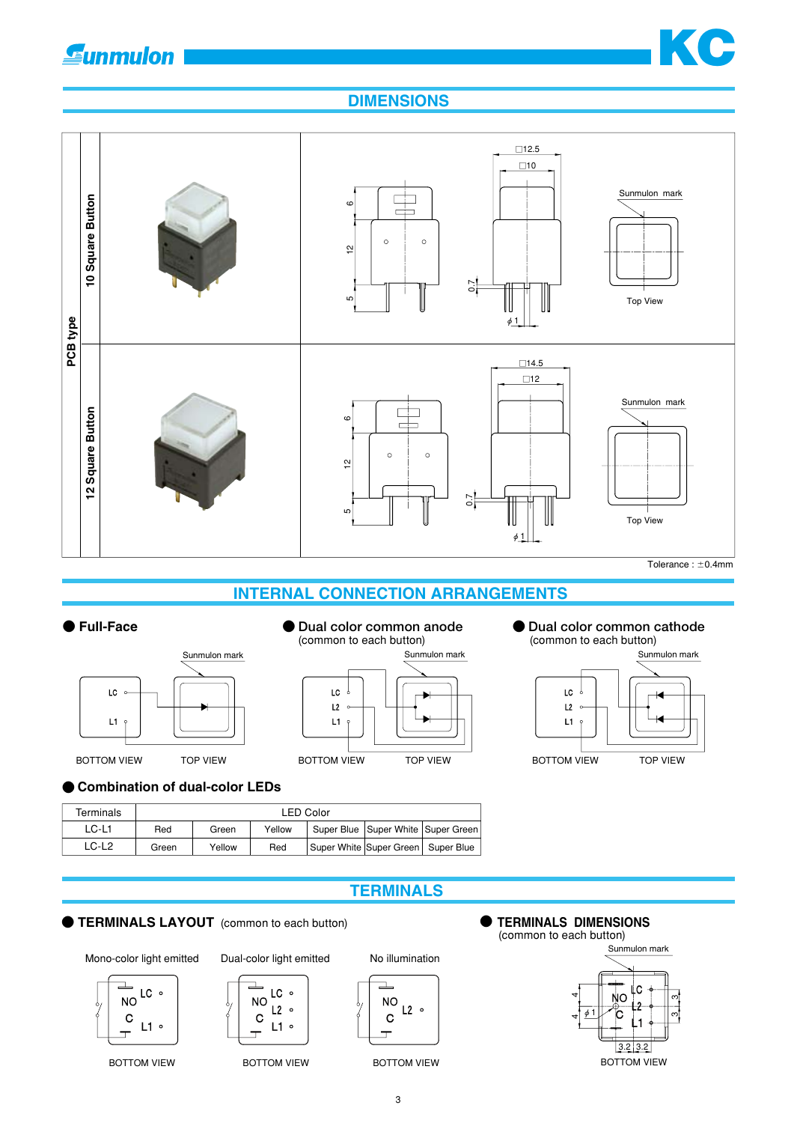### **Gunmulon**



#### **DIMENSIONS**



### **INTERNAL CONNECTION ARRANGEMENTS**



### (common to each button)



### ● **Dual color common anode** ● **● Dual color common cathode** (common to each button)



#### **● Combination of dual-color LEDs**

| Terminals | <b>LED Color</b>                                                   |        |     |  |                                    |  |
|-----------|--------------------------------------------------------------------|--------|-----|--|------------------------------------|--|
| LC-L1     | Super Blue   Super White   Super Green  <br>Yellow<br>Red<br>Green |        |     |  |                                    |  |
| $LC-L2$   | Green                                                              | Yellow | Red |  | Super White Super Green Super Blue |  |

#### **TERMINALS**

#### ● **TERMINALS LAYOUT** (common to each button) ● ● **TERMINALS DIMENSIONS**

Mono-color light emitted Dual-color light emitted No illumination

LC 。

 $L2 \circ$ 

 $L1$ 

**NO** 

 $\mathbf C$ 



 $\overline{\mathbf{r}}$ 



(common to each button)



3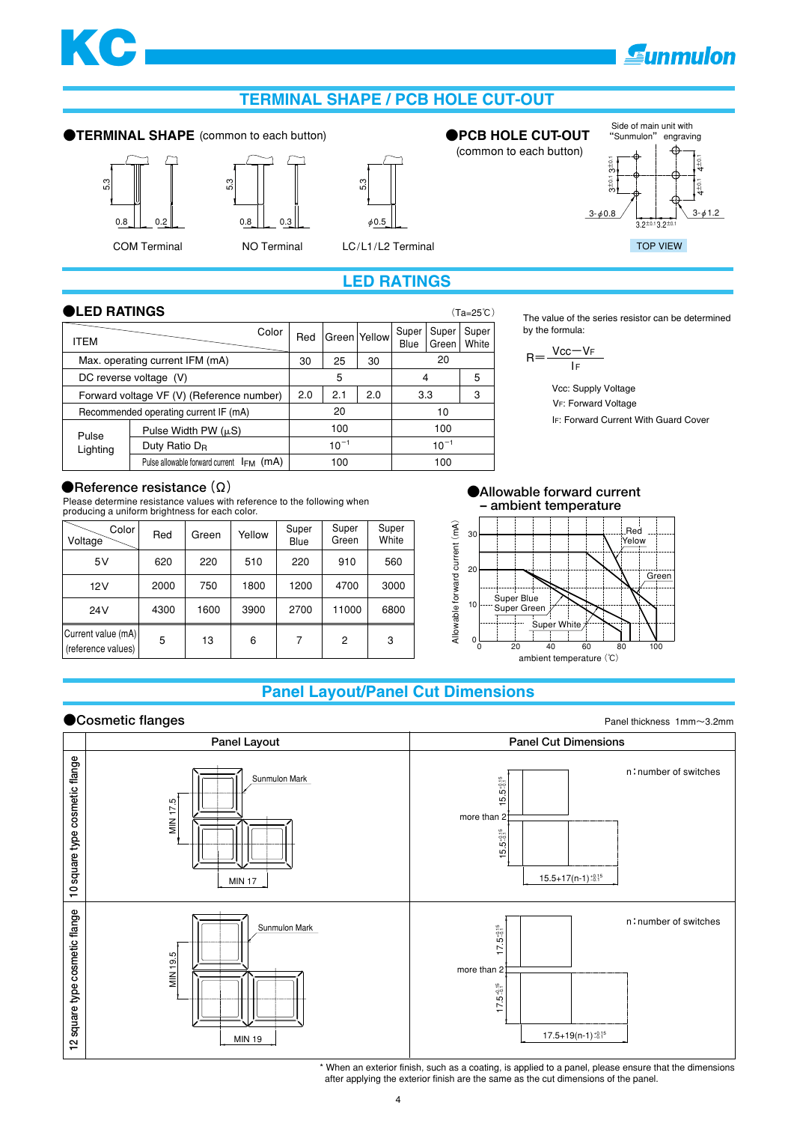# [KC](http://www.sunmulon.co.jp/english/index.htm)

### **Eunmulon**

3-φ1.2

 $4\pm0.1$   $4\pm0.1$ 

 $\frac{1}{10}$ 

### **TERMINAL SHAPE / PCB HOLE CUT-OUT**

#### **●TERMINAL SHAPE ●PCB HOLE CUT-OUT** (common to each button)







COM Terminal MO Terminal LC/L1/L2 Terminal TOP VIEW

#### **LED RATINGS**

#### **●LED RATINGS** (Ta=25℃)

| ITEM                                          | Color                     | Red       |     | Green Yellow | Super<br>Blue | Super<br>Green | Super<br>White |
|-----------------------------------------------|---------------------------|-----------|-----|--------------|---------------|----------------|----------------|
| Max. operating current IFM (mA)               |                           |           | 25  | 30           | 20            |                |                |
| DC reverse voltage (V)                        |                           |           | 5   |              | 4             |                | 5              |
| Forward voltage VF (V) (Reference number)     |                           |           | 2.1 | 2.0          | 3.3           |                | 3              |
| Recommended operating current IF (mA)         |                           |           | 20  |              |               | 10             |                |
| Pulse Width PW $(\mu S)$<br>Pulse             |                           |           | 100 |              |               | 100            |                |
| Lighting                                      | Duty Ratio D <sub>R</sub> | $10^{-1}$ |     |              | $10^{-1}$     |                |                |
| Pulse allowable forward current $I_{FM}$ (mA) |                           |           | 100 |              | 100           |                |                |

The value of the series resistor can be determined by the formula:

 $3.2+0.1$   $3.2+0.1$ 

Side of main unit with<br>"Sunmulon" engraving "Sunmulon"

 $3 - \phi 0.8$ 

3±0.1 3±0.1

 $2 + 0.1$  $\frac{1}{10}$ 

$$
R{=}\frac{Vcc{-}V_F}{I_F}
$$

(common to each button)

IF: Forward Current With Guard Cover VF: Forward Voltage Vcc: Supply Voltage

#### **●Reference resistance(Ω)**

Please determine resistance values with reference to the following when producing a uniform brightness for each color.

| Color<br>Voltage                         | Red  | Green | Yellow | Super<br>Blue | Super<br>Green | Super<br>White |
|------------------------------------------|------|-------|--------|---------------|----------------|----------------|
| 5V                                       | 620  | 220   | 510    | 220           | 910            | 560            |
| 12V                                      | 2000 | 750   | 1800   | 1200          | 4700           | 3000           |
| 24V                                      | 4300 | 1600  | 3900   | 2700          | 11000          | 6800           |
| Current value (mA)<br>(reference values) | 5    | 13    | 6      | 7             | 2              | 3              |



#### **Panel Layout/Panel Cut Dimensions**

#### **●Cosmetic flanges**



\* When an exterior finish, such as a coating, is applied to a panel, please ensure that the dimensions after applying the exterior finish are the same as the cut dimensions of the panel.

Panel thickness 1mm~3.2mm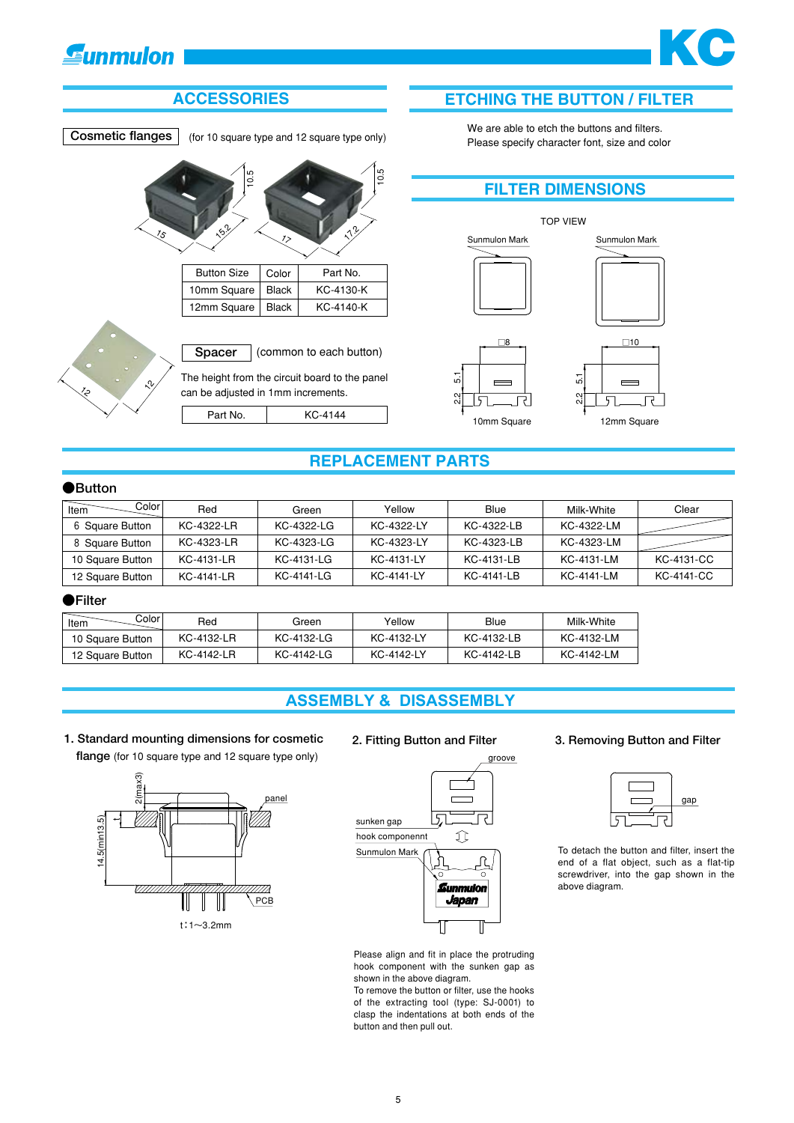### **Gunmulon**

## **ETCHING THE BUTTON / FILTER**

[KC](http://www.sunmulon.co.jp/english/index.htm)

#### **ACCESSORIES**

**Cosmetic flanges** (for 10 square type and 12 square type only)

10.5 15  $x^{3}$ 10.5 17  $\mathcal{N}^2$ 

> Button Size | Color 10mm Square 12mm Square KC-4130-K KC-4140-K Black Black Part No.





We are able to etch the buttons and filters. Please specify character font, size and color



#### **REPLACEMENT PARTS**

#### **●Button**

| Colorl<br>Item   | Red        | Green      | Yellow     | Blue       | Milk-White | Clear      |
|------------------|------------|------------|------------|------------|------------|------------|
| 6 Square Button  | KC-4322-LR | KC-4322-LG | KC-4322-LY | KC-4322-LB | KC-4322-LM |            |
| 8 Square Button  | KC-4323-LR | KC-4323-LG | KC-4323-LY | KC-4323-LB | KC-4323-LM |            |
| 10 Square Button | KC-4131-LR | KC-4131-LG | KC-4131-LY | KC-4131-LB | KC-4131-LM | KC-4131-CC |
| 12 Square Button | KC-4141-LR | KC-4141-LG | KC-4141-LY | KC-4141-LB | KC-4141-LM | KC-4141-CC |

#### **●Filter**

| Color<br>Item    | Red        | Green      | Yellow     | Blue       | Milk-White |
|------------------|------------|------------|------------|------------|------------|
| 10 Square Button | KC-4132-LR | KC-4132-LG | KC-4132-LY | KC-4132-LB | KC-4132-LM |
| 12 Square Button | KC-4142-LR | KC-4142-LG | KC-4142-LY | KC-4142-LB | KC-4142-LM |

#### **ASSEMBLY & DISASSEMBLY**

#### **1. Standard mounting dimensions for cosmetic flange** (for 10 square type and 12 square type only)





Please align and fit in place the protruding hook component with the sunken gap as shown in the above diagram.

To remove the button or filter, use the hooks of the extracting tool (type: SJ-0001) to clasp the indentations at both ends of the button and then pull out.

#### **2. Fitting Button and Filter 3. Removing Button and Filter**

| gap |
|-----|
|     |
|     |

To detach the button and filter, insert the end of a flat object, such as a flat-tip screwdriver, into the gap shown in the above diagram.